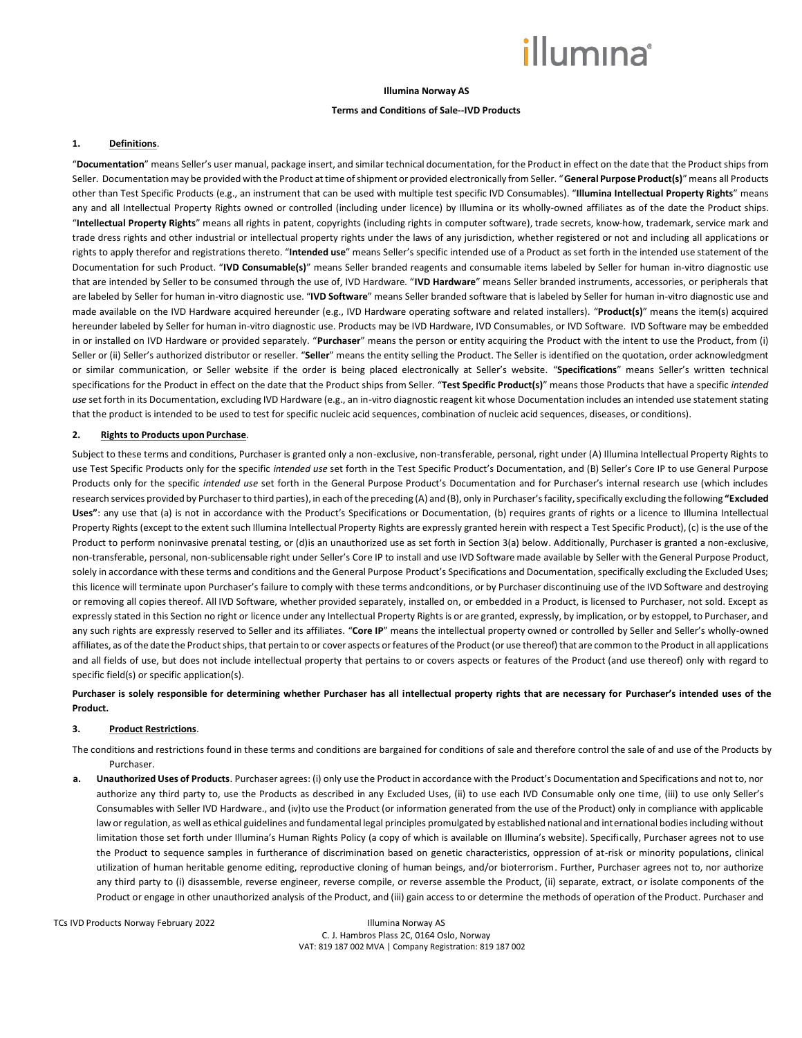#### **Illumina Norway AS**

### **Terms and Conditions of Sale--IVD Products**

#### **1. Definitions**.

"**Documentation**" means Seller's user manual, package insert, and similar technical documentation, for the Product in effect on the date that the Product ships from Seller. Documentation may be provided with the Product at time of shipment or provided electronically from Seller. "**General Purpose Product(s)**" means all Products other than Test Specific Products (e.g., an instrument that can be used with multiple test specific IVD Consumables). "**Illumina Intellectual Property Rights**" means any and all Intellectual Property Rights owned or controlled (including under licence) by Illumina or its wholly-owned affiliates as of the date the Product ships. "**Intellectual Property Rights**" means all rights in patent, copyrights (including rights in computer software), trade secrets, know-how, trademark, service mark and trade dress rights and other industrial or intellectual property rights under the laws of any jurisdiction, whether registered or not and including all applications or rights to apply therefor and registrations thereto. "**Intended use**" means Seller's specific intended use of a Product as set forth in the intended use statement of the Documentation for such Product. "**IVD Consumable(s)**" means Seller branded reagents and consumable items labeled by Seller for human in-vitro diagnostic use that are intended by Seller to be consumed through the use of, IVD Hardware. "**IVD Hardware**" means Seller branded instruments, accessories, or peripherals that are labeled by Seller for human in-vitro diagnostic use. "**IVD Software**" means Seller branded software that is labeled by Seller for human in-vitro diagnostic use and made available on the IVD Hardware acquired hereunder (e.g., IVD Hardware operating software and related installers). "**Product(s)**" means the item(s) acquired hereunder labeled by Seller for human in-vitro diagnostic use. Products may be IVD Hardware, IVD Consumables, or IVD Software. IVD Software may be embedded in or installed on IVD Hardware or provided separately. "**Purchaser**" means the person or entity acquiring the Product with the intent to use the Product, from (i) Seller or (ii) Seller's authorized distributor or reseller. "Seller" means the entity selling the Product. The Seller is identified on the quotation, order acknowledgment or similar communication, or Seller website if the order is being placed electronically at Seller's website. "**Specifications**" means Seller's written technical specifications for the Product in effect on the date that the Product ships from Seller. "**Test Specific Product(s)**" means those Products that have a specific *intended use* set forth in its Documentation, excluding IVD Hardware (e.g., an in-vitro diagnostic reagent kit whose Documentation includes an intended use statement stating that the product is intended to be used to test for specific nucleic acid sequences, combination of nucleic acid sequences, diseases, or conditions).

### **2. Rights to Products upon Purchase**.

Subject to these terms and conditions, Purchaser is granted only a non-exclusive, non-transferable, personal, right under (A) Illumina Intellectual Property Rights to use Test Specific Products only for the specific *intended use* set forth in the Test Specific Product's Documentation, and (B) Seller's Core IP to use General Purpose Products only for the specific *intended use* set forth in the General Purpose Product's Documentation and for Purchaser's internal research use (which includes research services provided by Purchaser to third parties), in each of the preceding (A) and (B), only in Purchaser's facility, specifically excluding the following **"Excluded Uses"**: any use that (a) is not in accordance with the Product's Specifications or Documentation, (b) requires grants of rights or a licence to Illumina Intellectual Property Rights (except to the extent such Illumina Intellectual Property Rights are expressly granted herein with respect a Test Specific Product), (c) is the use of the Product to perform noninvasive prenatal testing, or (d)is an unauthorized use as set forth in Section 3(a) below. Additionally, Purchaser is granted a non-exclusive, non-transferable, personal, non-sublicensable right under Seller's Core IP to install and use IVD Software made available by Seller with the General Purpose Product, solely in accordance with these terms and conditions and the General Purpose Product's Specifications and Documentation, specifically excluding the Excluded Uses; this licence will terminate upon Purchaser's failure to comply with these terms andconditions, or by Purchaser discontinuing use of the IVD Software and destroying or removing all copies thereof. All IVD Software, whether provided separately, installed on, or embedded in a Product, is licensed to Purchaser, not sold. Except as expressly stated in this Section no right or licence under any Intellectual Property Rights is or are granted, expressly, by implication, or by estoppel, to Purchaser, and any such rights are expressly reserved to Seller and its affiliates. "Core IP" means the intellectual property owned or controlled by Seller and Seller's wholly-owned affiliates, as of the date the Product ships, that pertain to or cover aspects orfeatures ofthe Product (or use thereof) that are common to the Product in all applications and all fields of use, but does not include intellectual property that pertains to or covers aspects or features of the Product (and use thereof) only with regard to specific field(s) or specific application(s).

## **Purchaser is solely responsible for determining whether Purchaser has all intellectual property rights that are necessary for Purchaser's intended uses of the Product.**

### **3. Product Restrictions**.

The conditions and restrictions found in these terms and conditions are bargained for conditions of sale and therefore control the sale of and use of the Products by Purchaser.

**a. Unauthorized Uses of Products**. Purchaser agrees: (i) only use the Product in accordance with the Product's Documentation and Specifications and not to, nor authorize any third party to, use the Products as described in any Excluded Uses, (ii) to use each IVD Consumable only one time, (iii) to use only Seller's Consumables with Seller IVD Hardware., and (iv)to use the Product (or information generated from the use of the Product) only in compliance with applicable law or regulation, as well as ethical guidelines and fundamental legal principles promulgated by established national and international bodies including without limitation those set forth under Illumina's Human Rights Policy (a copy of which is available on Illumina's website). Specifically, Purchaser agrees not to use the Product to sequence samples in furtherance of discrimination based on genetic characteristics, oppression of at-risk or minority populations, clinical utilization of human heritable genome editing, reproductive cloning of human beings, and/or bioterrorism. Further, Purchaser agrees not to, nor authorize any third party to (i) disassemble, reverse engineer, reverse compile, or reverse assemble the Product, (ii) separate, extract, or isolate components of the Product or engage in other unauthorized analysis of the Product, and (iii) gain access to or determine the methods of operation of the Product. Purchaser and

TCs IVD Products Norway February 2022 Illumina Norway AS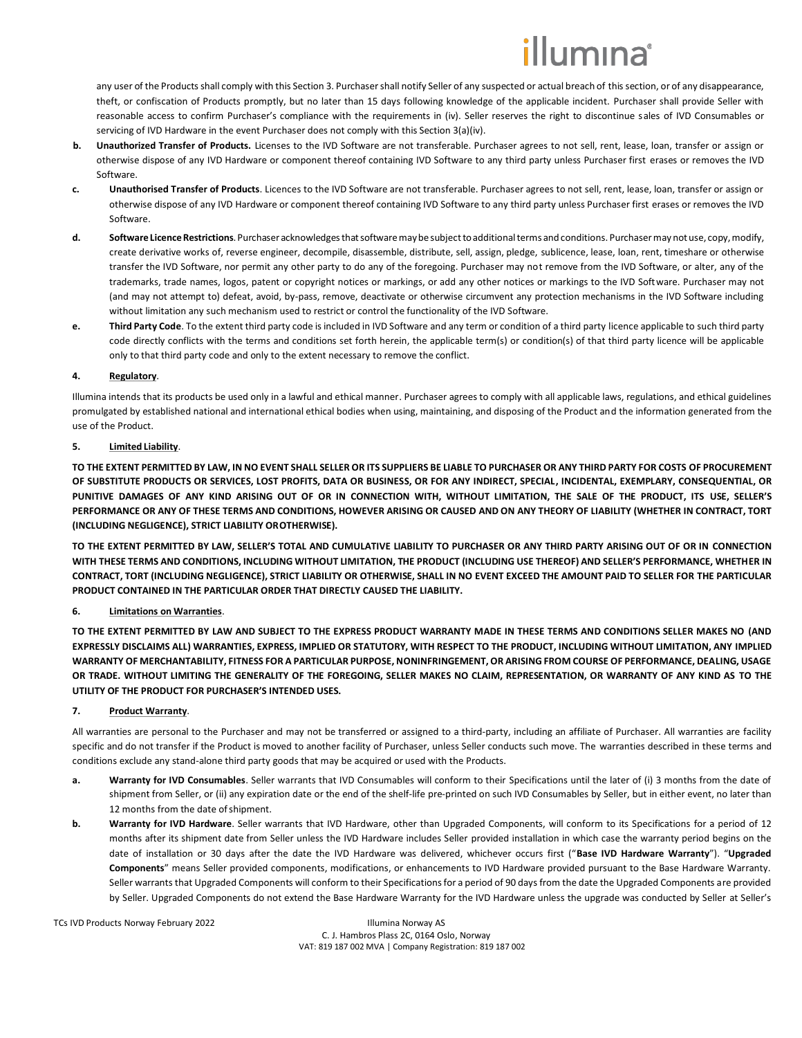# lumına

any user of the Products shall comply with this Section 3. Purchaser shall notify Seller of any suspected or actual breach of this section, or of any disappearance, theft, or confiscation of Products promptly, but no later than 15 days following knowledge of the applicable incident. Purchaser shall provide Seller with reasonable access to confirm Purchaser's compliance with the requirements in (iv). Seller reserves the right to discontinue sales of IVD Consumables or servicing of IVD Hardware in the event Purchaser does not comply with this Section 3(a)(iv).

- Unauthorized Transfer of Products. Licenses to the IVD Software are not transferable. Purchaser agrees to not sell, rent, lease, loan, transfer or assign or otherwise dispose of any IVD Hardware or component thereof containing IVD Software to any third party unless Purchaser first erases or removes the IVD Software.
- **c. Unauthorised Transfer of Products**. Licences to the IVD Software are not transferable. Purchaser agrees to not sell, rent, lease, loan, transfer or assign or otherwise dispose of any IVD Hardware or component thereof containing IVD Software to any third party unless Purchaser first erases or removes the IVD Software.
- d. Software Licence Restrictions. Purchaser acknowledges that software may be subject to additional terms and conditions. Purchaser may not use, copy, modify, create derivative works of, reverse engineer, decompile, disassemble, distribute, sell, assign, pledge, sublicence, lease, loan, rent, timeshare or otherwise transfer the IVD Software, nor permit any other party to do any of the foregoing. Purchaser may not remove from the IVD Software, or alter, any of the trademarks, trade names, logos, patent or copyright notices or markings, or add any other notices or markings to the IVD Software. Purchaser may not (and may not attempt to) defeat, avoid, by-pass, remove, deactivate or otherwise circumvent any protection mechanisms in the IVD Software including without limitation any such mechanism used to restrict or control the functionality of the IVD Software.
- **e. Third Party Code**. To the extent third party code is included in IVD Software and any term or condition of a third party licence applicable to such third party code directly conflicts with the terms and conditions set forth herein, the applicable term(s) or condition(s) of that third party licence will be applicable only to that third party code and only to the extent necessary to remove the conflict.

## **4. Regulatory**.

Illumina intends that its products be used only in a lawful and ethical manner. Purchaser agrees to comply with all applicable laws, regulations, and ethical guidelines promulgated by established national and international ethical bodies when using, maintaining, and disposing of the Product and the information generated from the use of the Product.

## **5. Limited Liability**.

**TO THE EXTENT PERMITTED BY LAW, IN NO EVENT SHALL SELLER OR ITS SUPPLIERS BE LIABLE TO PURCHASER OR ANY THIRD PARTY FOR COSTS OF PROCUREMENT OF SUBSTITUTE PRODUCTS OR SERVICES, LOST PROFITS, DATA OR BUSINESS, OR FOR ANY INDIRECT, SPECIAL, INCIDENTAL, EXEMPLARY, CONSEQUENTIAL, OR PUNITIVE DAMAGES OF ANY KIND ARISING OUT OF OR IN CONNECTION WITH, WITHOUT LIMITATION, THE SALE OF THE PRODUCT, ITS USE, SELLER'S** PERFORMANCE OR ANY OF THESE TERMS AND CONDITIONS, HOWEVER ARISING OR CAUSED AND ON ANY THEORY OF LIABILITY (WHETHER IN CONTRACT, TORT **(INCLUDING NEGLIGENCE), STRICT LIABILITY OROTHERWISE).**

**TO THE EXTENT PERMITTED BY LAW, SELLER'S TOTAL AND CUMULATIVE LIABILITY TO PURCHASER OR ANY THIRD PARTY ARISING OUT OF OR IN CONNECTION WITH THESE TERMS AND CONDITIONS, INCLUDING WITHOUT LIMITATION, THE PRODUCT (INCLUDING USE THEREOF) AND SELLER'S PERFORMANCE, WHETHER IN CONTRACT, TORT (INCLUDING NEGLIGENCE), STRICT LIABILITY OR OTHERWISE, SHALL IN NO EVENT EXCEED THE AMOUNT PAID TO SELLER FOR THE PARTICULAR PRODUCT CONTAINED IN THE PARTICULAR ORDER THAT DIRECTLY CAUSED THE LIABILITY.**

# **6. Limitations on Warranties**.

**TO THE EXTENT PERMITTED BY LAW AND SUBJECT TO THE EXPRESS PRODUCT WARRANTY MADE IN THESE TERMS AND CONDITIONS SELLER MAKES NO (AND EXPRESSLY DISCLAIMS ALL) WARRANTIES, EXPRESS, IMPLIED OR STATUTORY, WITH RESPECT TO THE PRODUCT, INCLUDING WITHOUT LIMITATION, ANY IMPLIED WARRANTY OF MERCHANTABILITY, FITNESS FOR A PARTICULAR PURPOSE, NONINFRINGEMENT, OR ARISING FROM COURSE OF PERFORMANCE, DEALING, USAGE OR TRADE. WITHOUT LIMITING THE GENERALITY OF THE FOREGOING, SELLER MAKES NO CLAIM, REPRESENTATION, OR WARRANTY OF ANY KIND AS TO THE UTILITY OF THE PRODUCT FOR PURCHASER'S INTENDED USES.**

# **7. Product Warranty**.

All warranties are personal to the Purchaser and may not be transferred or assigned to a third-party, including an affiliate of Purchaser. All warranties are facility specific and do not transfer if the Product is moved to another facility of Purchaser, unless Seller conducts such move. The warranties described in these terms and conditions exclude any stand-alone third party goods that may be acquired or used with the Products.

- **a. Warranty for IVD Consumables**. Seller warrants that IVD Consumables will conform to their Specifications until the later of (i) 3 months from the date of shipment from Seller, or (ii) any expiration date or the end of the shelf-life pre-printed on such IVD Consumables by Seller, but in either event, no later than 12 months from the date ofshipment.
- **b. Warranty for IVD Hardware**. Seller warrants that IVD Hardware, other than Upgraded Components, will conform to its Specifications for a period of 12 months after its shipment date from Seller unless the IVD Hardware includes Seller provided installation in which case the warranty period begins on the date of installation or 30 days after the date the IVD Hardware was delivered, whichever occurs first ("**Base IVD Hardware Warranty**"). "**Upgraded Components**" means Seller provided components, modifications, or enhancements to IVD Hardware provided pursuant to the Base Hardware Warranty. Seller warrants that Upgraded Components will conform to their Specifications for a period of 90 days from the date the Upgraded Components are provided by Seller. Upgraded Components do not extend the Base Hardware Warranty for the IVD Hardware unless the upgrade was conducted by Seller at Seller's

TCs IVD Products Norway February 2022 Illumina Norway AS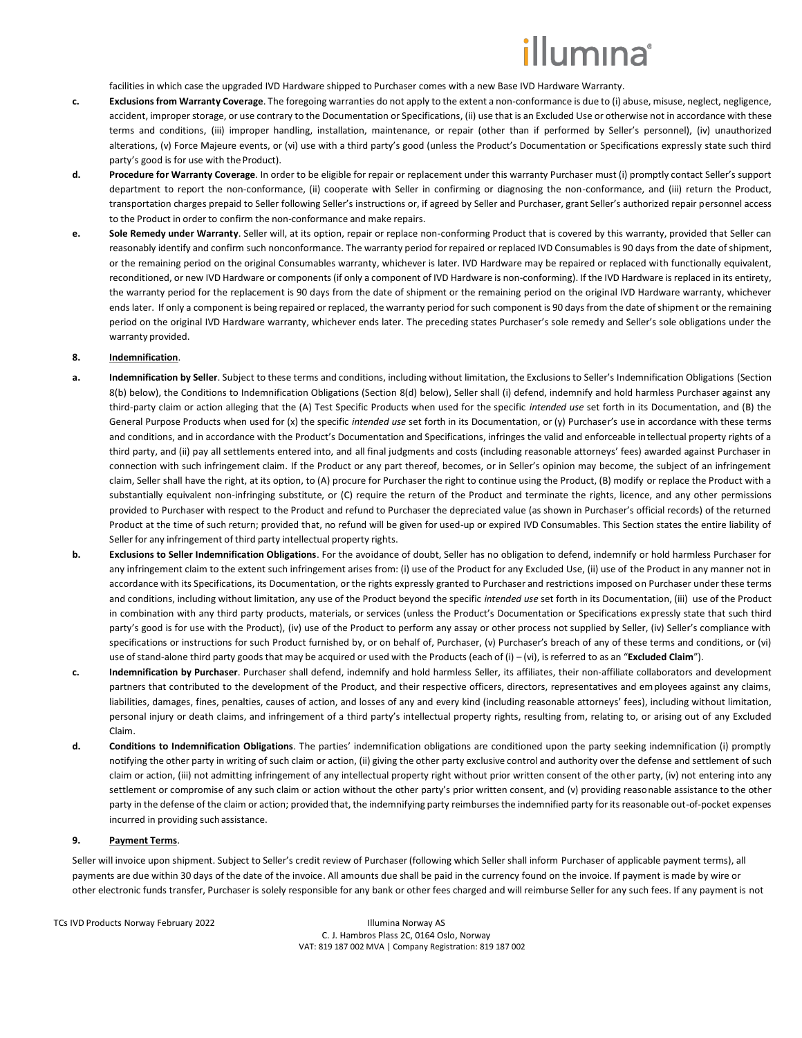facilities in which case the upgraded IVD Hardware shipped to Purchaser comes with a new Base IVD Hardware Warranty.

- **c. Exclusions from Warranty Coverage**. The foregoing warranties do not apply to the extent a non-conformance is due to (i) abuse, misuse, neglect, negligence, accident, improper storage, or use contrary to the Documentation or Specifications, (ii) use that is an Excluded Use or otherwise not in accordance with these terms and conditions, (iii) improper handling, installation, maintenance, or repair (other than if performed by Seller's personnel), (iv) unauthorized alterations, (v) Force Majeure events, or (vi) use with a third party's good (unless the Product's Documentation or Specifications expressly state such third party's good is for use with theProduct).
- **d. Procedure for Warranty Coverage**. In order to be eligible for repair or replacement under this warranty Purchaser must (i) promptly contact Seller's support department to report the non-conformance, (ii) cooperate with Seller in confirming or diagnosing the non-conformance, and (iii) return the Product, transportation charges prepaid to Seller following Seller's instructions or, if agreed by Seller and Purchaser, grant Seller's authorized repair personnel access to the Product in order to confirm the non-conformance and make repairs.
- **e. Sole Remedy under Warranty**. Seller will, at its option, repair or replace non-conforming Product that is covered by this warranty, provided that Seller can reasonably identify and confirm such nonconformance. The warranty period for repaired or replaced IVD Consumables is 90 days from the date ofshipment, or the remaining period on the original Consumables warranty, whichever is later. IVD Hardware may be repaired or replaced with functionally equivalent, reconditioned, or new IVD Hardware or components (if only a component of IVD Hardware is non-conforming). If the IVD Hardware is replaced in its entirety, the warranty period for the replacement is 90 days from the date of shipment or the remaining period on the original IVD Hardware warranty, whichever ends later. If only a component is being repaired or replaced, the warranty period for such component is 90 days from the date of shipment or the remaining period on the original IVD Hardware warranty, whichever ends later. The preceding states Purchaser's sole remedy and Seller's sole obligations under the warranty provided.

### <span id="page-2-0"></span>**8. Indemnification**.

- **a. Indemnification by Seller**. Subject to these terms and conditions, including without limitation, the Exclusions to Seller's Indemnification Obligations (Section [8\(](#page-2-0)[b\)](#page-2-1) below), the Conditions to Indemnification Obligations (Section [8](#page-2-0)[\(d\)](#page-2-2) below), Seller shall (i) defend, indemnify and hold harmless Purchaser against any third-party claim or action alleging that the (A) Test Specific Products when used for the specific *intended use* set forth in its Documentation, and (B) the General Purpose Products when used for (x) the specific *intended use* set forth in its Documentation, or (y) Purchaser's use in accordance with these terms and conditions, and in accordance with the Product's Documentation and Specifications, infringes the valid and enforceable intellectual property rights of a third party, and (ii) pay all settlements entered into, and all final judgments and costs (including reasonable attorneys' fees) awarded against Purchaser in connection with such infringement claim. If the Product or any part thereof, becomes, or in Seller's opinion may become, the subject of an infringement claim, Seller shall have the right, at its option, to (A) procure for Purchaser the right to continue using the Product, (B) modify or replace the Product with a substantially equivalent non-infringing substitute, or (C) require the return of the Product and terminate the rights, licence, and any other permissions provided to Purchaser with respect to the Product and refund to Purchaser the depreciated value (as shown in Purchaser's official records) of the returned Product at the time of such return; provided that, no refund will be given for used-up or expired IVD Consumables. This Section states the entire liability of Seller for any infringement of third party intellectual property rights.
- <span id="page-2-1"></span>**b. Exclusions to Seller Indemnification Obligations**. For the avoidance of doubt, Seller has no obligation to defend, indemnify or hold harmless Purchaser for any infringement claim to the extent such infringement arises from: (i) use of the Product for any Excluded Use, (ii) use of the Product in any manner not in accordance with its Specifications, its Documentation, or the rights expressly granted to Purchaser and restrictions imposed on Purchaser under these terms and conditions, including without limitation, any use of the Product beyond the specific *intended use* set forth in its Documentation, (iii) use of the Product in combination with any third party products, materials, or services (unless the Product's Documentation or Specifications expressly state that such third party's good is for use with the Product), (iv) use of the Product to perform any assay or other process not supplied by Seller, (iv) Seller's compliance with specifications or instructions for such Product furnished by, or on behalf of, Purchaser, (v) Purchaser's breach of any of these terms and conditions, or (vi) use of stand-alone third party goods that may be acquired or used with the Products (each of (i) – (vi), is referred to as an "**Excluded Claim**").
- **c. Indemnification by Purchaser**. Purchaser shall defend, indemnify and hold harmless Seller, its affiliates, their non-affiliate collaborators and development partners that contributed to the development of the Product, and their respective officers, directors, representatives and employees against any claims, liabilities, damages, fines, penalties, causes of action, and losses of any and every kind (including reasonable attorneys' fees), including without limitation, personal injury or death claims, and infringement of a third party's intellectual property rights, resulting from, relating to, or arising out of any Excluded Claim.
- <span id="page-2-2"></span>**d. Conditions to Indemnification Obligations**. The parties' indemnification obligations are conditioned upon the party seeking indemnification (i) promptly notifying the other party in writing of such claim or action, (ii) giving the other party exclusive control and authority over the defense and settlement of such claim or action, (iii) not admitting infringement of any intellectual property right without prior written consent of the other party, (iv) not entering into any settlement or compromise of any such claim or action without the other party's prior written consent, and (v) providing reasonable assistance to the other party in the defense of the claim or action; provided that, the indemnifying party reimburses the indemnified party for its reasonable out-of-pocket expenses incurred in providing suchassistance.

### **9. Payment Terms**.

Seller will invoice upon shipment. Subject to Seller's credit review of Purchaser (following which Seller shall inform Purchaser of applicable payment terms), all payments are due within 30 days of the date of the invoice. All amounts due shall be paid in the currency found on the invoice. If payment is made by wire or other electronic funds transfer, Purchaser is solely responsible for any bank or other fees charged and will reimburse Seller for any such fees. If any payment is not

TCs IVD Products Norway February 2022 Illumina Norway AS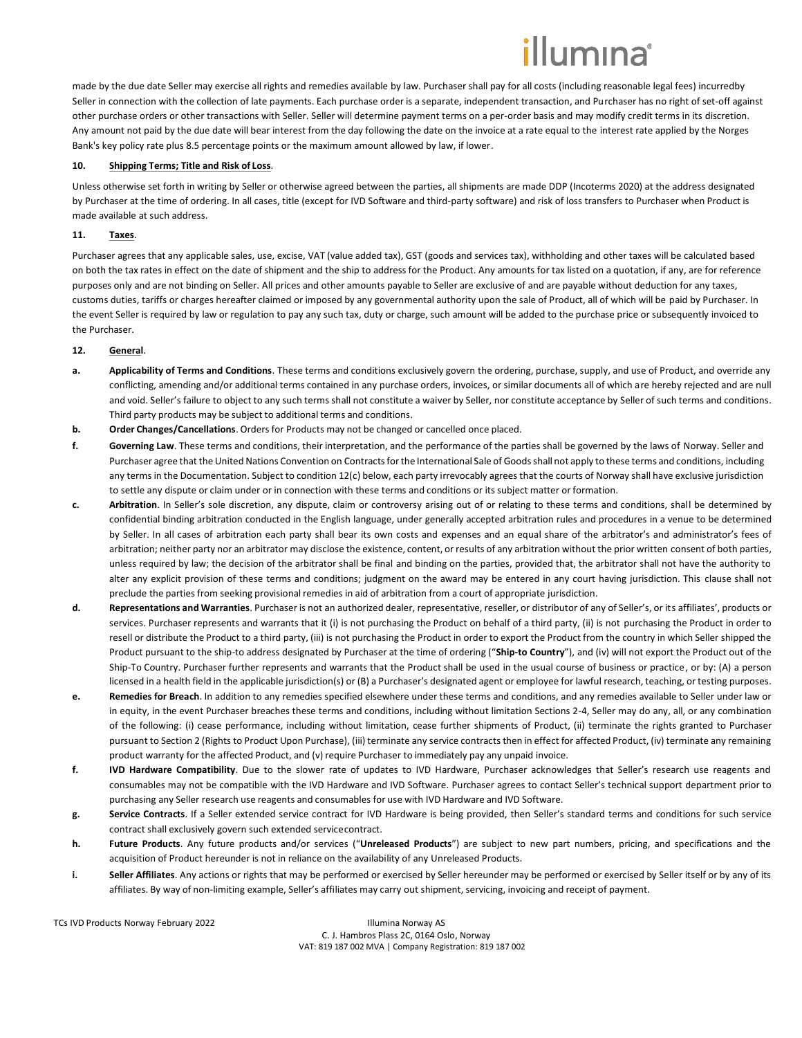made by the due date Seller may exercise all rights and remedies available by law. Purchaser shall pay for all costs (including reasonable legal fees) incurredby Seller in connection with the collection of late payments. Each purchase order is a separate, independent transaction, and Purchaser has no right of set-off against other purchase orders or other transactions with Seller. Seller will determine payment terms on a per-order basis and may modify credit terms in its discretion. Any amount not paid by the due date will bear interest from the day following the date on the invoice at a rate equal to the interest rate applied by the Norges Bank's key policy rate plus 8.5 percentage points or the maximum amount allowed by law, if lower.

### **10. Shipping Terms; Title and Risk of Loss**.

Unless otherwise set forth in writing by Seller or otherwise agreed between the parties, all shipments are made DDP (Incoterms 2020) at the address designated by Purchaser at the time of ordering. In all cases, title (except for IVD Software and third-party software) and risk of loss transfers to Purchaser when Product is made available at such address.

## **11. Taxes**.

Purchaser agrees that any applicable sales, use, excise, VAT (value added tax), GST (goods and services tax), withholding and other taxes will be calculated based on both the tax rates in effect on the date of shipment and the ship to address for the Product. Any amounts for tax listed on a quotation, if any, are for reference purposes only and are not binding on Seller. All prices and other amounts payable to Seller are exclusive of and are payable without deduction for any taxes, customs duties, tariffs or charges hereafter claimed or imposed by any governmental authority upon the sale of Product, all of which will be paid by Purchaser. In the event Seller is required by law or regulation to pay any such tax, duty or charge, such amount will be added to the purchase price or subsequently invoiced to the Purchaser.

### **12. General**.

- **a. Applicability of Terms and Conditions**. These terms and conditions exclusively govern the ordering, purchase, supply, and use of Product, and override any conflicting, amending and/or additional terms contained in any purchase orders, invoices, or similar documents all of which are hereby rejected and are null and void. Seller's failure to object to any such terms shall not constitute a waiver by Seller, nor constitute acceptance by Seller of such terms and conditions. Third party products may be subject to additional terms and conditions.
- **b. Order Changes/Cancellations**. Orders for Products may not be changed or cancelled once placed.
- **f. Governing Law**. These terms and conditions, their interpretation, and the performance of the parties shall be governed by the laws of Norway. Seller and Purchaser agree that the United Nations Convention on Contracts for the International Sale of Goods shall not apply to these terms and conditions, including any terms in the Documentation. Subject to condition 12(c) below, each party irrevocably agrees that the courts of Norway shall have exclusive jurisdiction to settle any dispute or claim under or in connection with these terms and conditions or its subject matter or formation.
- **c. Arbitration**. In Seller's sole discretion, any dispute, claim or controversy arising out of or relating to these terms and conditions, shall be determined by confidential binding arbitration conducted in the English language, under generally accepted arbitration rules and procedures in a venue to be determined by Seller. In all cases of arbitration each party shall bear its own costs and expenses and an equal share of the arbitrator's and administrator's fees of arbitration; neither party nor an arbitrator may disclose the existence, content, or results of any arbitration without the prior written consent of both parties, unless required by law; the decision of the arbitrator shall be final and binding on the parties, provided that, the arbitrator shall not have the authority to alter any explicit provision of these terms and conditions; judgment on the award may be entered in any court having jurisdiction. This clause shall not preclude the parties from seeking provisional remedies in aid of arbitration from a court of appropriate jurisdiction.
- **d. Representations and Warranties**. Purchaser is not an authorized dealer, representative, reseller, or distributor of any of Seller's, or its affiliates', products or services. Purchaser represents and warrants that it (i) is not purchasing the Product on behalf of a third party, (ii) is not purchasing the Product in order to resell or distribute the Product to a third party, (iii) is not purchasing the Product in order to export the Product from the country in which Seller shipped the Product pursuant to the ship-to address designated by Purchaser at the time of ordering ("**Ship-to Country**"), and (iv) will not export the Product out of the Ship-To Country. Purchaser further represents and warrants that the Product shall be used in the usual course of business or practice, or by: (A) a person licensed in a health field in the applicable jurisdiction(s) or (B) a Purchaser's designated agent or employee for lawful research, teaching, or testing purposes.
- **e. Remedies for Breach**. In addition to any remedies specified elsewhere under these terms and conditions, and any remedies available to Seller under law or in equity, in the event Purchaser breaches these terms and conditions, including without limitation Sections 2-4, Seller may do any, all, or any combination of the following: (i) cease performance, including without limitation, cease further shipments of Product, (ii) terminate the rights granted to Purchaser pursuant to Section 2 (Rights to Product Upon Purchase), (iii) terminate any service contracts then in effect for affected Product, (iv) terminate any remaining product warranty for the affected Product, and (v) require Purchaser to immediately pay any unpaid invoice.
- **f. IVD Hardware Compatibility**. Due to the slower rate of updates to IVD Hardware, Purchaser acknowledges that Seller's research use reagents and consumables may not be compatible with the IVD Hardware and IVD Software. Purchaser agrees to contact Seller's technical support department prior to purchasing any Seller research use reagents and consumables for use with IVD Hardware and IVD Software.
- **g. Service Contracts**. If a Seller extended service contract for IVD Hardware is being provided, then Seller's standard terms and conditions for such service contract shall exclusively govern such extended servicecontract.
- **h. Future Products**. Any future products and/or services ("**Unreleased Products**") are subject to new part numbers, pricing, and specifications and the acquisition of Product hereunder is not in reliance on the availability of any Unreleased Products.
- **i. Seller Affiliates**. Any actions or rights that may be performed or exercised by Seller hereunder may be performed or exercised by Seller itself or by any of its affiliates. By way of non-limiting example, Seller's affiliates may carry out shipment, servicing, invoicing and receipt of payment.

TCs IVD Products Norway February 2022 Illumina Norway AS